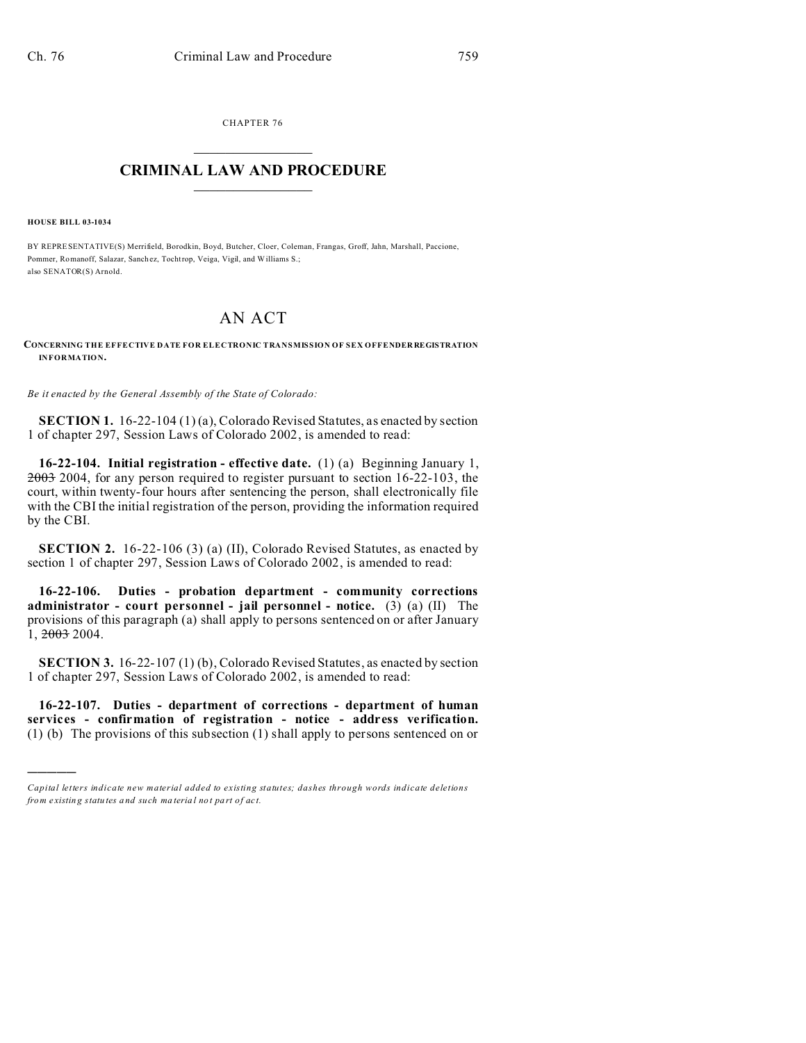CHAPTER 76  $\overline{\phantom{a}}$  , where  $\overline{\phantom{a}}$ 

## **CRIMINAL LAW AND PROCEDURE**  $\_$   $\_$   $\_$   $\_$   $\_$   $\_$   $\_$   $\_$   $\_$

**HOUSE BILL 03-1034**

)))))

BY REPRESENTATIVE(S) Merrifield, Borodkin, Boyd, Butcher, Cloer, Coleman, Frangas, Groff, Jahn, Marshall, Paccione, Pommer, Romanoff, Salazar, Sanch ez, Tochtrop, Veiga, Vigil, and Williams S.; also SENATOR(S) Arnold.

## AN ACT

**CONCERNING THE EFFECTIVE DATE FOR ELECTRONIC TRANSMISSION OF SEX OFFENDER REGISTRATION INFORMATION.**

*Be it enacted by the General Assembly of the State of Colorado:*

**SECTION 1.** 16-22-104 (1) (a), Colorado Revised Statutes, as enacted by section 1 of chapter 297, Session Laws of Colorado 2002, is amended to read:

**16-22-104. Initial registration - effective date.** (1) (a) Beginning January 1, 2003 2004, for any person required to register pursuant to section 16-22-103, the court, within twenty-four hours after sentencing the person, shall electronically file with the CBI the initial registration of the person, providing the information required by the CBI.

**SECTION 2.** 16-22-106 (3) (a) (II), Colorado Revised Statutes, as enacted by section 1 of chapter 297, Session Laws of Colorado 2002, is amended to read:

**16-22-106. Duties - probation department - community corrections administrator - court personnel - jail personnel - notice.** (3) (a) (II) The provisions of this paragraph (a) shall apply to persons sentenced on or after January 1, 2003 2004.

**SECTION 3.** 16-22-107 (1) (b), Colorado Revised Statutes, as enacted by section 1 of chapter 297, Session Laws of Colorado 2002, is amended to read:

**16-22-107. Duties - department of corrections - department of human services - confirmation of registration - notice - address verification.** (1) (b) The provisions of this subsection (1) shall apply to persons sentenced on or

*Capital letters indicate new material added to existing statutes; dashes through words indicate deletions from e xistin g statu tes a nd such ma teria l no t pa rt of ac t.*